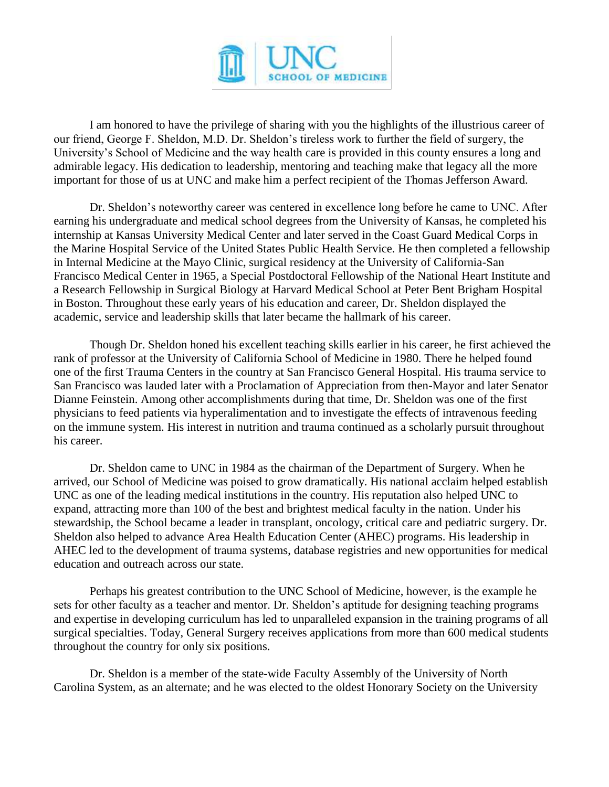

I am honored to have the privilege of sharing with you the highlights of the illustrious career of our friend, George F. Sheldon, M.D. Dr. Sheldon's tireless work to further the field of surgery, the University's School of Medicine and the way health care is provided in this county ensures a long and admirable legacy. His dedication to leadership, mentoring and teaching make that legacy all the more important for those of us at UNC and make him a perfect recipient of the Thomas Jefferson Award.

Dr. Sheldon's noteworthy career was centered in excellence long before he came to UNC. After earning his undergraduate and medical school degrees from the University of Kansas, he completed his internship at Kansas University Medical Center and later served in the Coast Guard Medical Corps in the Marine Hospital Service of the United States Public Health Service. He then completed a fellowship in Internal Medicine at the Mayo Clinic, surgical residency at the University of California-San Francisco Medical Center in 1965, a Special Postdoctoral Fellowship of the National Heart Institute and a Research Fellowship in Surgical Biology at Harvard Medical School at Peter Bent Brigham Hospital in Boston. Throughout these early years of his education and career, Dr. Sheldon displayed the academic, service and leadership skills that later became the hallmark of his career.

Though Dr. Sheldon honed his excellent teaching skills earlier in his career, he first achieved the rank of professor at the University of California School of Medicine in 1980. There he helped found one of the first Trauma Centers in the country at San Francisco General Hospital. His trauma service to San Francisco was lauded later with a Proclamation of Appreciation from then-Mayor and later Senator Dianne Feinstein. Among other accomplishments during that time, Dr. Sheldon was one of the first physicians to feed patients via hyperalimentation and to investigate the effects of intravenous feeding on the immune system. His interest in nutrition and trauma continued as a scholarly pursuit throughout his career.

Dr. Sheldon came to UNC in 1984 as the chairman of the Department of Surgery. When he arrived, our School of Medicine was poised to grow dramatically. His national acclaim helped establish UNC as one of the leading medical institutions in the country. His reputation also helped UNC to expand, attracting more than 100 of the best and brightest medical faculty in the nation. Under his stewardship, the School became a leader in transplant, oncology, critical care and pediatric surgery. Dr. Sheldon also helped to advance Area Health Education Center (AHEC) programs. His leadership in AHEC led to the development of trauma systems, database registries and new opportunities for medical education and outreach across our state.

Perhaps his greatest contribution to the UNC School of Medicine, however, is the example he sets for other faculty as a teacher and mentor. Dr. Sheldon's aptitude for designing teaching programs and expertise in developing curriculum has led to unparalleled expansion in the training programs of all surgical specialties. Today, General Surgery receives applications from more than 600 medical students throughout the country for only six positions.

Dr. Sheldon is a member of the state-wide Faculty Assembly of the University of North Carolina System, as an alternate; and he was elected to the oldest Honorary Society on the University